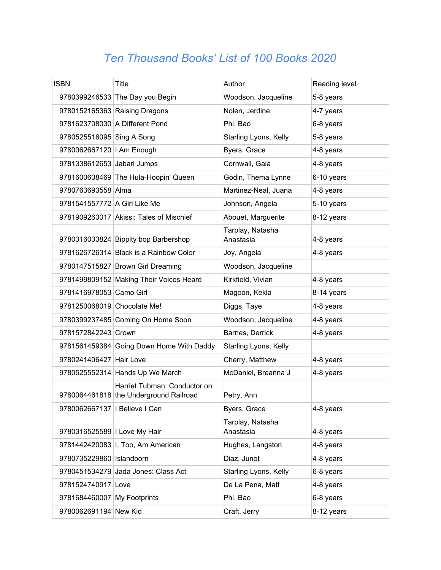## *Ten Thousand Books' List of 100 Books 2020*

| <b>ISBN</b>                     | Title                                                                  | Author                        | Reading level |
|---------------------------------|------------------------------------------------------------------------|-------------------------------|---------------|
|                                 | 9780399246533 The Day you Begin                                        | Woodson, Jacqueline           | 5-8 years     |
|                                 | 9780152165363 Raising Dragons                                          | Nolen, Jerdine                | 4-7 years     |
|                                 | 9781623708030 A Different Pond                                         | Phi, Bao                      | 6-8 years     |
| 9780525516095 Sing A Song       |                                                                        | Starling Lyons, Kelly         | 5-8 years     |
| 9780062667120   Am Enough       |                                                                        | Byers, Grace                  | 4-8 years     |
| 9781338612653 Jabari Jumps      |                                                                        | Cornwall, Gaia                | 4-8 years     |
|                                 | 9781600608469 The Hula-Hoopin' Queen                                   | Godin, Thema Lynne            | 6-10 years    |
| 9780763693558 Alma              |                                                                        | Martinez-Neal, Juana          | 4-8 years     |
| 9781541557772 A Girl Like Me    |                                                                        | Johnson, Angela               | 5-10 years    |
|                                 | 9781909263017 Akissi: Tales of Mischief                                | Abouet, Marguerite            | 8-12 years    |
|                                 | 9780316033824 Bippity bop Barbershop                                   | Tarplay, Natasha<br>Anastasia | 4-8 years     |
|                                 | 9781626726314 Black is a Rainbow Color                                 | Joy, Angela                   | 4-8 years     |
|                                 | 9780147515827 Brown Girl Dreaming                                      | Woodson, Jacqueline           |               |
|                                 | 9781499809152 Making Their Voices Heard                                | Kirkfield, Vivian             | 4-8 years     |
| 9781416978053 Camo Girl         |                                                                        | Magoon, Kekla                 | 8-14 years    |
| 9781250068019 Chocolate Me!     |                                                                        | Diggs, Taye                   | 4-8 years     |
|                                 | 9780399237485 Coming On Home Soon                                      | Woodson, Jacqueline           | 4-8 years     |
| 9781572842243 Crown             |                                                                        | Barnes, Derrick               | 4-8 years     |
|                                 | 9781561459384 Going Down Home With Daddy                               | Starling Lyons, Kelly         |               |
| 9780241406427 Hair Love         |                                                                        | Cherry, Matthew               | 4-8 years     |
|                                 | 9780525552314 Hands Up We March                                        | McDaniel, Breanna J           | 4-8 years     |
|                                 | Harriet Tubman: Conductor on<br>9780064461818 the Underground Railroad | Petry, Ann                    |               |
| 9780062667137   I Believe I Can |                                                                        | Byers, Grace                  | 4-8 years     |
| 9780316525589   Love My Hair    |                                                                        | Tarplay, Natasha<br>Anastasia | 4-8 years     |
|                                 | 9781442420083 I, Too, Am American                                      | Hughes, Langston              | 4-8 years     |
| 9780735229860   Islandborn      |                                                                        | Diaz, Junot                   | 4-8 years     |
|                                 | 9780451534279 Jada Jones: Class Act                                    | Starling Lyons, Kelly         | 6-8 years     |
| 9781524740917 Love              |                                                                        | De La Pena, Matt              | 4-8 years     |
| 9781684460007 My Footprints     |                                                                        | Phi, Bao                      | 6-8 years     |
| 9780062691194 New Kid           |                                                                        | Craft, Jerry                  | 8-12 years    |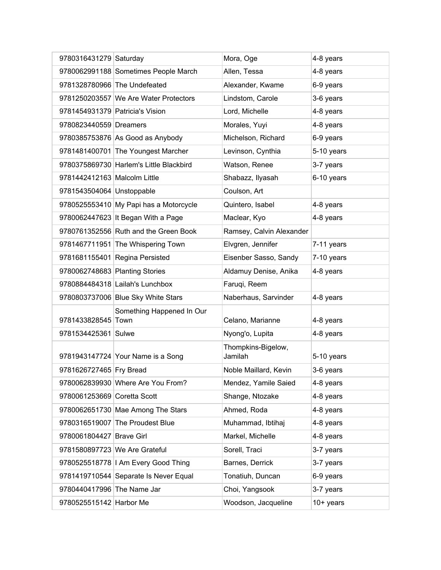| 9780316431279 Saturday          |                                         | Mora, Oge                     | 4-8 years  |
|---------------------------------|-----------------------------------------|-------------------------------|------------|
|                                 | 9780062991188 Sometimes People March    | Allen, Tessa                  | 4-8 years  |
|                                 | 9781328780966 The Undefeated            | Alexander, Kwame              | 6-9 years  |
|                                 | 9781250203557 We Are Water Protectors   | Lindstom, Carole              | 3-6 years  |
| 9781454931379 Patricia's Vision |                                         | Lord, Michelle                | 4-8 years  |
| 9780823440559 Dreamers          |                                         | Morales, Yuyi                 | 4-8 years  |
|                                 | 9780385753876 As Good as Anybody        | Michelson, Richard            | 6-9 years  |
|                                 | 9781481400701 The Youngest Marcher      | Levinson, Cynthia             | 5-10 years |
|                                 | 9780375869730 Harlem's Little Blackbird | Watson, Renee                 | 3-7 years  |
| 9781442412163 Malcolm Little    |                                         | Shabazz, Ilyasah              | 6-10 years |
| 9781543504064 Unstoppable       |                                         | Coulson, Art                  |            |
|                                 | 9780525553410 My Papi has a Motorcycle  | Quintero, Isabel              | 4-8 years  |
|                                 | 9780062447623 It Began With a Page      | Maclear, Kyo                  | 4-8 years  |
|                                 | 9780761352556 Ruth and the Green Book   | Ramsey, Calvin Alexander      |            |
|                                 | 9781467711951 The Whispering Town       | Elvgren, Jennifer             | 7-11 years |
|                                 | 9781681155401 Regina Persisted          | Eisenber Sasso, Sandy         | 7-10 years |
| 9780062748683 Planting Stories  |                                         | Aldamuy Denise, Anika         | 4-8 years  |
|                                 | 9780884484318 Lailah's Lunchbox         | Faruqi, Reem                  |            |
|                                 | 9780803737006 Blue Sky White Stars      | Naberhaus, Sarvinder          | 4-8 years  |
| 9781433828545 Town              | Something Happened In Our               | Celano, Marianne              | 4-8 years  |
| 9781534425361 Sulwe             |                                         | Nyong'o, Lupita               | 4-8 years  |
|                                 | 9781943147724 Your Name is a Song       | Thompkins-Bigelow,<br>Jamilah | 5-10 years |
| 9781626727465 Fry Bread         |                                         | Noble Maillard, Kevin         | 3-6 years  |
|                                 | 9780062839930 Where Are You From?       | Mendez, Yamile Saied          | 4-8 years  |
| 9780061253669 Coretta Scott     |                                         | Shange, Ntozake               | 4-8 years  |
|                                 | 9780062651730 Mae Among The Stars       | Ahmed, Roda                   | 4-8 years  |
|                                 | 9780316519007 The Proudest Blue         | Muhammad, Ibtihaj             | 4-8 years  |
| 9780061804427 Brave Girl        |                                         | Markel, Michelle              | 4-8 years  |
|                                 | 9781580897723 We Are Grateful           | Sorell, Traci                 | 3-7 years  |
|                                 | 9780525518778   I Am Every Good Thing   | Barnes, Derrick               | 3-7 years  |
|                                 | 9781419710544 Separate Is Never Equal   | Tonatiuh, Duncan              | 6-9 years  |
|                                 |                                         |                               |            |
|                                 | 9780440417996 The Name Jar              | Choi, Yangsook                | 3-7 years  |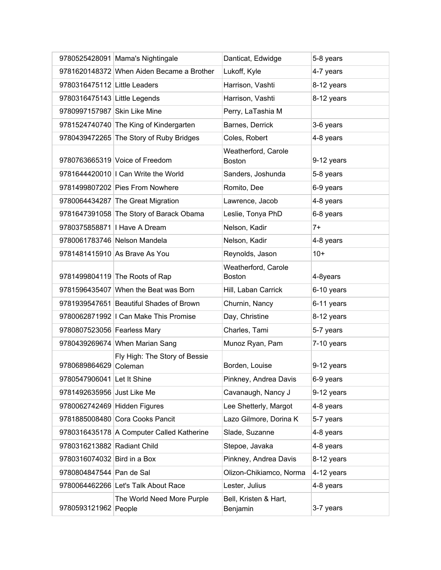|                                | 9780525428091 Mama's Nightingale          | Danticat, Edwidge                    | 5-8 years  |
|--------------------------------|-------------------------------------------|--------------------------------------|------------|
|                                | 9781620148372 When Aiden Became a Brother | Lukoff, Kyle                         | 4-7 years  |
| 9780316475112 Little Leaders   |                                           | Harrison, Vashti                     | 8-12 years |
| 9780316475143 Little Legends   |                                           | Harrison, Vashti                     | 8-12 years |
| 9780997157987 Skin Like Mine   |                                           | Perry, LaTashia M                    |            |
|                                | 9781524740740 The King of Kindergarten    | Barnes, Derrick                      | 3-6 years  |
|                                | 9780439472265 The Story of Ruby Bridges   | Coles, Robert                        | 4-8 years  |
|                                | 9780763665319 Voice of Freedom            | Weatherford, Carole<br><b>Boston</b> | 9-12 years |
|                                | 9781644420010   Can Write the World       | Sanders, Joshunda                    | 5-8 years  |
|                                | 9781499807202 Pies From Nowhere           | Romito, Dee                          | 6-9 years  |
|                                | 9780064434287 The Great Migration         | Lawrence, Jacob                      | 4-8 years  |
|                                | 9781647391058 The Story of Barack Obama   | Leslie, Tonya PhD                    | 6-8 years  |
| 9780375858871   I Have A Dream |                                           | Nelson, Kadir                        | $7+$       |
|                                | 9780061783746 Nelson Mandela              | Nelson, Kadir                        | 4-8 years  |
|                                | 9781481415910 As Brave As You             | Reynolds, Jason                      | $10+$      |
|                                | 9781499804119 The Roots of Rap            | Weatherford, Carole<br>Boston        | 4-8years   |
|                                | 9781596435407 When the Beat was Born      | Hill, Laban Carrick                  | 6-10 years |
|                                | 9781939547651 Beautiful Shades of Brown   | Churnin, Nancy                       | 6-11 years |
|                                | 9780062871992   I Can Make This Promise   | Day, Christine                       | 8-12 years |
| 9780807523056 Fearless Mary    |                                           | Charles, Tami                        | 5-7 years  |
|                                | 9780439269674 When Marian Sang            | Munoz Ryan, Pam                      | 7-10 years |
| 9780689864629 Coleman          | Fly High: The Story of Bessie             | Borden, Louise                       | 9-12 years |
| 9780547906041 Let It Shine     |                                           | Pinkney, Andrea Davis                | 6-9 years  |
| 9781492635956 Just Like Me     |                                           | Cavanaugh, Nancy J                   | 9-12 years |
| 9780062742469 Hidden Figures   |                                           | Lee Shetterly, Margot                | 4-8 years  |
|                                | 9781885008480 Cora Cooks Pancit           | Lazo Gilmore, Dorina K               | 5-7 years  |
|                                | 9780316435178 A Computer Called Katherine | Slade, Suzanne                       | 4-8 years  |
| 9780316213882 Radiant Child    |                                           | Stepoe, Javaka                       | 4-8 years  |
| 9780316074032 Bird in a Box    |                                           | Pinkney, Andrea Davis                | 8-12 years |
| 9780804847544 Pan de Sal       |                                           | Olizon-Chikiamco, Norma              | 4-12 years |
|                                | 9780064462266 Let's Talk About Race       | Lester, Julius                       | 4-8 years  |
| 9780593121962 People           | The World Need More Purple                | Bell, Kristen & Hart,<br>Benjamin    | 3-7 years  |